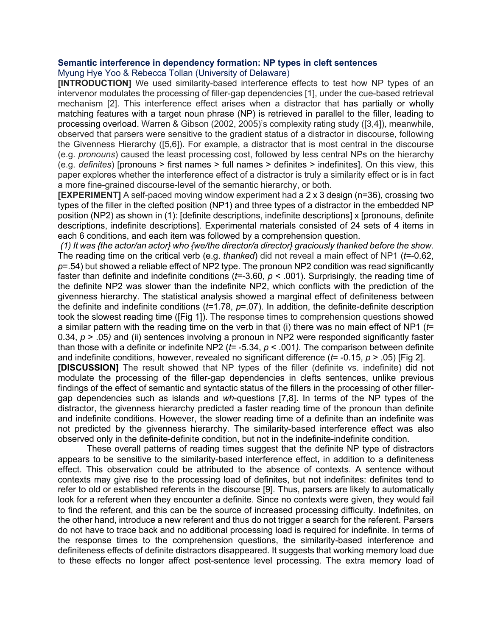## **Semantic interference in dependency formation: NP types in cleft sentences**

Myung Hye Yoo & Rebecca Tollan (University of Delaware)

**[INTRODUCTION]** We used similarity-based interference effects to test how NP types of an intervenor modulates the processing of filler-gap dependencies [1], under the cue-based retrieval mechanism [2]. This interference effect arises when a distractor that has partially or wholly matching features with a target noun phrase (NP) is retrieved in parallel to the filler, leading to processing overload. Warren & Gibson (2002, 2005)'s complexity rating study ([3,4]), meanwhile, observed that parsers were sensitive to the gradient status of a distractor in discourse, following the Givenness Hierarchy ([5,6]). For example, a distractor that is most central in the discourse (e.g. *pronouns*) caused the least processing cost, followed by less central NPs on the hierarchy (e.g. *definites*) [pronouns > first names > full names > definites > indefinites]. On this view, this paper explores whether the interference effect of a distractor is truly a similarity effect or is in fact a more fine-grained discourse-level of the semantic hierarchy, or both.

**[EXPERIMENT]** A self-paced moving window experiment had a 2 x 3 design (n=36), crossing two types of the filler in the clefted position (NP1) and three types of a distractor in the embedded NP position (NP2) as shown in (1): [definite descriptions, indefinite descriptions] x [pronouns, definite descriptions, indefinite descriptions]. Experimental materials consisted of 24 sets of 4 items in each 6 conditions, and each item was followed by a comprehension question.

*(1) It was {the actor/an actor} who {we/the director/a director} graciously thanked before the show.* The reading time on the critical verb (e.g. *thanked*) did not reveal a main effect of NP1 (*t*=-0.62, *p*=.54) but showed a reliable effect of NP2 type. The pronoun NP2 condition was read significantly faster than definite and indefinite conditions (*t*=-3.60, *p* < .001). Surprisingly, the reading time of the definite NP2 was slower than the indefinite NP2, which conflicts with the prediction of the givenness hierarchy. The statistical analysis showed a marginal effect of definiteness between the definite and indefinite conditions (*t*=1.78, *p*=.07). In addition, the definite-definite description took the slowest reading time ([Fig 1]). The response times to comprehension questions showed a similar pattern with the reading time on the verb in that (i) there was no main effect of NP1 (*t*= 0.34, *p* > .05*)* and (ii) sentences involving a pronoun in NP2 were responded significantly faster than those with a definite or indefinite NP2 (*t*= -5.34, *p* < .001*).* The comparison between definite and indefinite conditions, however, revealed no significant difference (*t*= -0.15, *p* > .05) [Fig 2].

**[DISCUSSION]** The result showed that NP types of the filler (definite vs. indefinite) did not modulate the processing of the filler-gap dependencies in clefts sentences, unlike previous findings of the effect of semantic and syntactic status of the fillers in the processing of other fillergap dependencies such as islands and *wh*-questions [7,8]. In terms of the NP types of the distractor, the givenness hierarchy predicted a faster reading time of the pronoun than definite and indefinite conditions. However, the slower reading time of a definite than an indefinite was not predicted by the givenness hierarchy. The similarity-based interference effect was also observed only in the definite-definite condition, but not in the indefinite-indefinite condition.

These overall patterns of reading times suggest that the definite NP type of distractors appears to be sensitive to the similarity-based interference effect, in addition to a definiteness effect. This observation could be attributed to the absence of contexts. A sentence without contexts may give rise to the processing load of definites, but not indefinites: definites tend to refer to old or established referents in the discourse [9]. Thus, parsers are likely to automatically look for a referent when they encounter a definite. Since no contexts were given, they would fail to find the referent, and this can be the source of increased processing difficulty. Indefinites, on the other hand, introduce a new referent and thus do not trigger a search for the referent. Parsers do not have to trace back and no additional processing load is required for indefinite. In terms of the response times to the comprehension questions, the similarity-based interference and definiteness effects of definite distractors disappeared. It suggests that working memory load due to these effects no longer affect post-sentence level processing. The extra memory load of